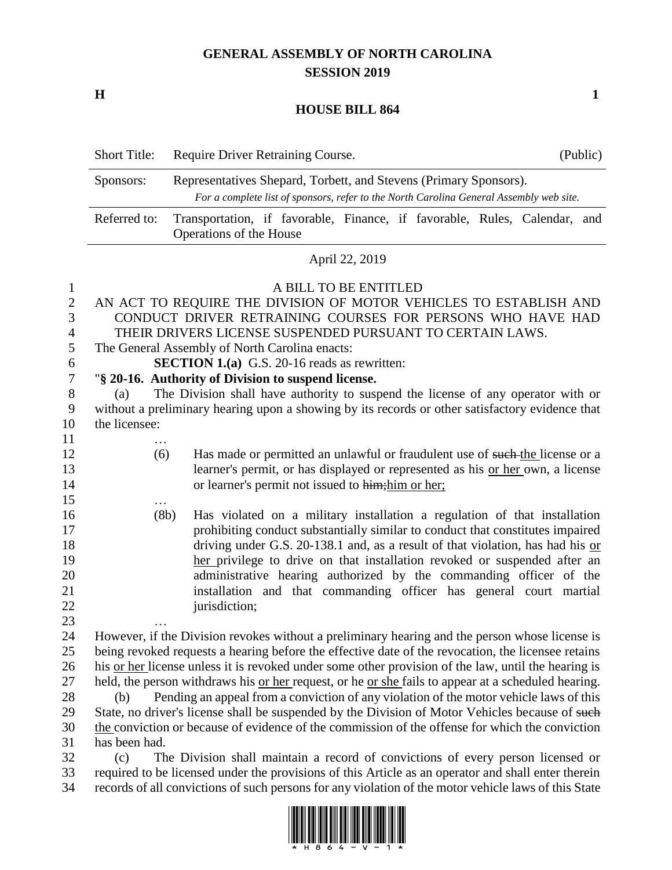# **GENERAL ASSEMBLY OF NORTH CAROLINA SESSION 2019**

**H 1**

#### **HOUSE BILL 864**

|                                                                                        | <b>Short Title:</b>              | Require Driver Retraining Course.<br>(Public)                                                                                                                                                                                                                                                                                                                                                                                                                                                                                                                                                                                                                                                                                            |
|----------------------------------------------------------------------------------------|----------------------------------|------------------------------------------------------------------------------------------------------------------------------------------------------------------------------------------------------------------------------------------------------------------------------------------------------------------------------------------------------------------------------------------------------------------------------------------------------------------------------------------------------------------------------------------------------------------------------------------------------------------------------------------------------------------------------------------------------------------------------------------|
|                                                                                        | Sponsors:                        | Representatives Shepard, Torbett, and Stevens (Primary Sponsors).                                                                                                                                                                                                                                                                                                                                                                                                                                                                                                                                                                                                                                                                        |
|                                                                                        |                                  | For a complete list of sponsors, refer to the North Carolina General Assembly web site.                                                                                                                                                                                                                                                                                                                                                                                                                                                                                                                                                                                                                                                  |
|                                                                                        | Referred to:                     | Transportation, if favorable, Finance, if favorable, Rules, Calendar, and<br>Operations of the House                                                                                                                                                                                                                                                                                                                                                                                                                                                                                                                                                                                                                                     |
|                                                                                        |                                  | April 22, 2019                                                                                                                                                                                                                                                                                                                                                                                                                                                                                                                                                                                                                                                                                                                           |
| 1<br>$\overline{c}$<br>3<br>$\overline{4}$<br>5<br>6<br>$\boldsymbol{7}$<br>$8\,$<br>9 | (a)                              | A BILL TO BE ENTITLED<br>AN ACT TO REQUIRE THE DIVISION OF MOTOR VEHICLES TO ESTABLISH AND<br>CONDUCT DRIVER RETRAINING COURSES FOR PERSONS WHO HAVE HAD<br>THEIR DRIVERS LICENSE SUSPENDED PURSUANT TO CERTAIN LAWS.<br>The General Assembly of North Carolina enacts:<br><b>SECTION 1.(a)</b> G.S. 20-16 reads as rewritten:<br>"§ 20-16. Authority of Division to suspend license.<br>The Division shall have authority to suspend the license of any operator with or<br>without a preliminary hearing upon a showing by its records or other satisfactory evidence that                                                                                                                                                             |
| 10                                                                                     | the licensee:                    |                                                                                                                                                                                                                                                                                                                                                                                                                                                                                                                                                                                                                                                                                                                                          |
| 11<br>12<br>13<br>14<br>15                                                             |                                  | Has made or permitted an unlawful or fraudulent use of such-the license or a<br>(6)<br>learner's permit, or has displayed or represented as his or her own, a license<br>or learner's permit not issued to him; him or her;                                                                                                                                                                                                                                                                                                                                                                                                                                                                                                              |
| 16<br>17<br>18<br>19<br>20<br>21<br>22                                                 |                                  | (8b)<br>Has violated on a military installation a regulation of that installation<br>prohibiting conduct substantially similar to conduct that constitutes impaired<br>driving under G.S. $20-138.1$ and, as a result of that violation, has had his or<br>her privilege to drive on that installation revoked or suspended after an<br>administrative hearing authorized by the commanding officer of the<br>installation and that commanding officer has general court martial<br>jurisdiction;                                                                                                                                                                                                                                        |
| 23<br>24<br>25<br>26<br>27<br>28<br>29<br>30<br>31                                     | $\cdots$<br>(b)<br>has been had. | However, if the Division revokes without a preliminary hearing and the person whose license is<br>being revoked requests a hearing before the effective date of the revocation, the licensee retains<br>his <u>or her</u> license unless it is revoked under some other provision of the law, until the hearing is<br>held, the person withdraws his <u>or her request</u> , or he <u>or she fails</u> to appear at a scheduled hearing.<br>Pending an appeal from a conviction of any violation of the motor vehicle laws of this<br>State, no driver's license shall be suspended by the Division of Motor Vehicles because of such<br>the conviction or because of evidence of the commission of the offense for which the conviction |

 (c) The Division shall maintain a record of convictions of every person licensed or required to be licensed under the provisions of this Article as an operator and shall enter therein records of all convictions of such persons for any violation of the motor vehicle laws of this State

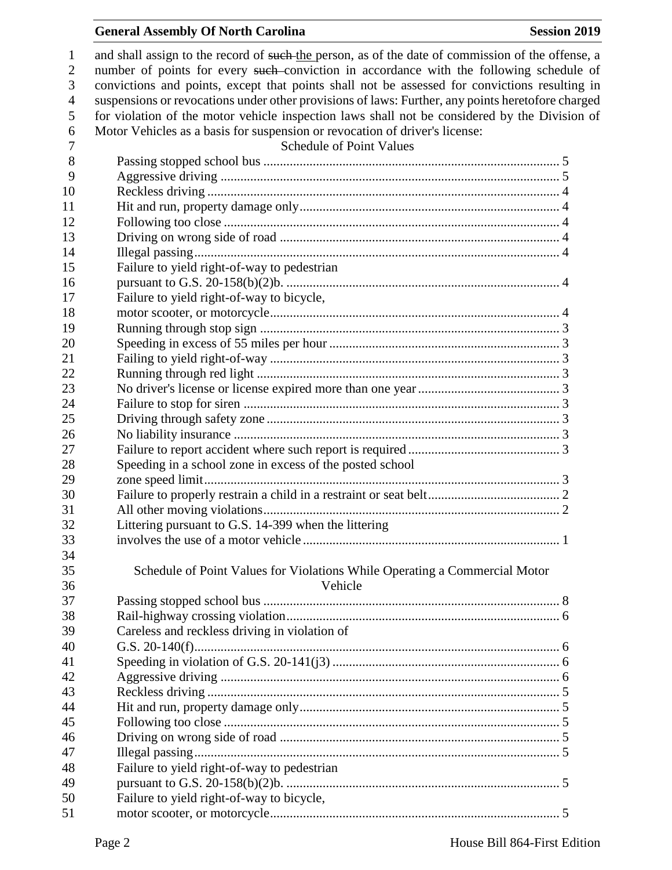#### **General Assembly Of North Carolina Session 2019**

1 and shall assign to the record of such the person, as of the date of commission of the offense, a 2 number of points for every such conviction in accordance with the following schedule of convictions and points, except that points shall not be assessed for convictions resulting in suspensions or revocations under other provisions of laws: Further, any points heretofore charged for violation of the motor vehicle inspection laws shall not be considered by the Division of Motor Vehicles as a basis for suspension or revocation of driver's license: Schedule of Point Values Passing stopped school bus .......................................................................................... 5 Aggressive driving ....................................................................................................... 5 Reckless driving ........................................................................................................... 4 Hit and run, property damage only............................................................................... 4 Following too close ...................................................................................................... 4 Driving on wrong side of road ..................................................................................... 4 Illegal passing............................................................................................................... 4 Failure to yield right-of-way to pedestrian pursuant to G.S. 20-158(b)(2)b. ................................................................................... 4 Failure to yield right-of-way to bicycle, motor scooter, or motorcycle........................................................................................ 4 Running through stop sign ........................................................................................... 3 Speeding in excess of 55 miles per hour ...................................................................... 3 Failing to yield right-of-way ........................................................................................ 3 Running through red light ............................................................................................ 3 No driver's license or license expired more than one year........................................... 3 Failure to stop for siren ................................................................................................ 3 Driving through safety zone ......................................................................................... 3 No liability insurance ................................................................................................... 3 Failure to report accident where such report is required .............................................. 3 Speeding in a school zone in excess of the posted school zone speed limit............................................................................................................ 3 Failure to properly restrain a child in a restraint or seat belt........................................ 2 All other moving violations.......................................................................................... 2 Littering pursuant to G.S. 14-399 when the littering involves the use of a motor vehicle .............................................................................. 1 Schedule of Point Values for Violations While Operating a Commercial Motor Vehicle Passing stopped school bus .......................................................................................... 8 Rail-highway crossing violation................................................................................... 6 Careless and reckless driving in violation of G.S. 20-140(f)............................................................................................................... 6 Speeding in violation of G.S. 20-141(j3) ..................................................................... 6 Aggressive driving ....................................................................................................... 6 Reckless driving ........................................................................................................... 5 Hit and run, property damage only............................................................................... 5 Following too close ...................................................................................................... 5 Driving on wrong side of road ..................................................................................... 5 Illegal passing............................................................................................................... 5 Failure to yield right-of-way to pedestrian pursuant to G.S. 20-158(b)(2)b. ................................................................................... 5 Failure to yield right-of-way to bicycle, motor scooter, or motorcycle........................................................................................ 5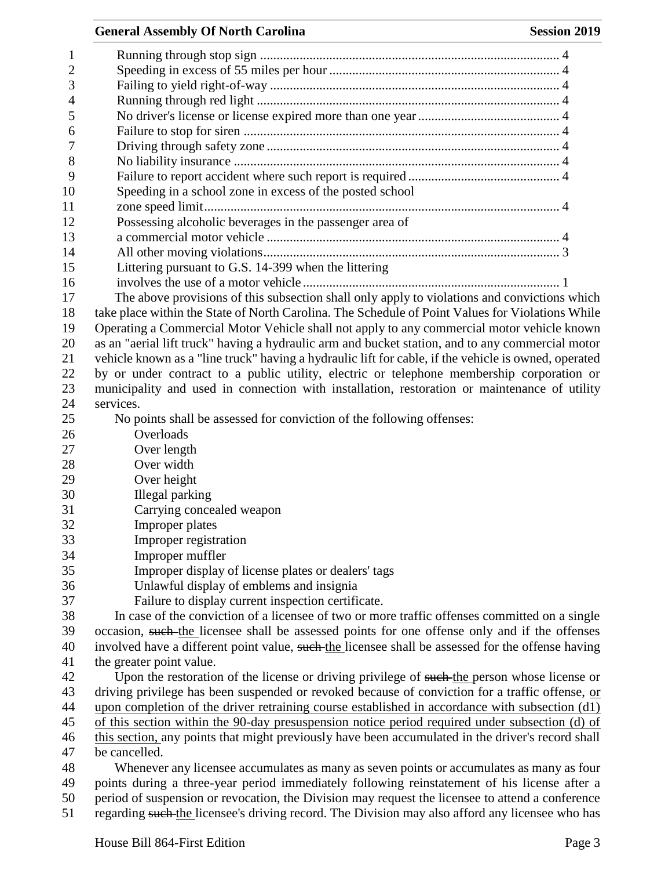| 1              |                                                                                                                                                                                                  |
|----------------|--------------------------------------------------------------------------------------------------------------------------------------------------------------------------------------------------|
| $\overline{2}$ |                                                                                                                                                                                                  |
| 3              |                                                                                                                                                                                                  |
| 4              |                                                                                                                                                                                                  |
| 5              |                                                                                                                                                                                                  |
| 6              |                                                                                                                                                                                                  |
| 7              |                                                                                                                                                                                                  |
| 8              |                                                                                                                                                                                                  |
| 9              |                                                                                                                                                                                                  |
| 10             | Speeding in a school zone in excess of the posted school                                                                                                                                         |
| 11             |                                                                                                                                                                                                  |
| 12             | Possessing alcoholic beverages in the passenger area of                                                                                                                                          |
| 13             |                                                                                                                                                                                                  |
| 14             |                                                                                                                                                                                                  |
| 15             | Littering pursuant to G.S. 14-399 when the littering                                                                                                                                             |
| 16             |                                                                                                                                                                                                  |
| 17             | The above provisions of this subsection shall only apply to violations and convictions which                                                                                                     |
| 18             | take place within the State of North Carolina. The Schedule of Point Values for Violations While                                                                                                 |
| 19             | Operating a Commercial Motor Vehicle shall not apply to any commercial motor vehicle known                                                                                                       |
| 20             | as an "aerial lift truck" having a hydraulic arm and bucket station, and to any commercial motor                                                                                                 |
| 21             | vehicle known as a "line truck" having a hydraulic lift for cable, if the vehicle is owned, operated                                                                                             |
| 22             | by or under contract to a public utility, electric or telephone membership corporation or                                                                                                        |
| 23             | municipality and used in connection with installation, restoration or maintenance of utility                                                                                                     |
| 24             | services.                                                                                                                                                                                        |
| 25             | No points shall be assessed for conviction of the following offenses:                                                                                                                            |
| 26             | Overloads                                                                                                                                                                                        |
| 27             | Over length                                                                                                                                                                                      |
| 28             | Over width                                                                                                                                                                                       |
| 29             | Over height                                                                                                                                                                                      |
| 30             | Illegal parking                                                                                                                                                                                  |
| 31             | Carrying concealed weapon                                                                                                                                                                        |
| 32             | Improper plates                                                                                                                                                                                  |
| 33             | Improper registration                                                                                                                                                                            |
| 34             | Improper muffler                                                                                                                                                                                 |
| 35             | Improper display of license plates or dealers' tags                                                                                                                                              |
| 36             | Unlawful display of emblems and insignia                                                                                                                                                         |
| 37             | Failure to display current inspection certificate.                                                                                                                                               |
| 38             | In case of the conviction of a licensee of two or more traffic offenses committed on a single                                                                                                    |
| 39             | occasion, such the licensee shall be assessed points for one offense only and if the offenses                                                                                                    |
| 40             | involved have a different point value, such the licensee shall be assessed for the offense having                                                                                                |
| 41             | the greater point value.                                                                                                                                                                         |
| 42             | Upon the restoration of the license or driving privilege of such-the person whose license or                                                                                                     |
| 43             | driving privilege has been suspended or revoked because of conviction for a traffic offense, or                                                                                                  |
| 44             | upon completion of the driver retraining course established in accordance with subsection (d1)                                                                                                   |
| 45             | of this section within the 90-day presuspension notice period required under subsection (d) of                                                                                                   |
| 46             | this section, any points that might previously have been accumulated in the driver's record shall                                                                                                |
| 47             | be cancelled.                                                                                                                                                                                    |
| 48<br>49       | Whenever any licensee accumulates as many as seven points or accumulates as many as four                                                                                                         |
| 50             | points during a three-year period immediately following reinstatement of his license after a<br>period of suspension or revocation, the Division may request the licensee to attend a conference |
| 51             | regarding such the licensee's driving record. The Division may also afford any licensee who has                                                                                                  |
|                |                                                                                                                                                                                                  |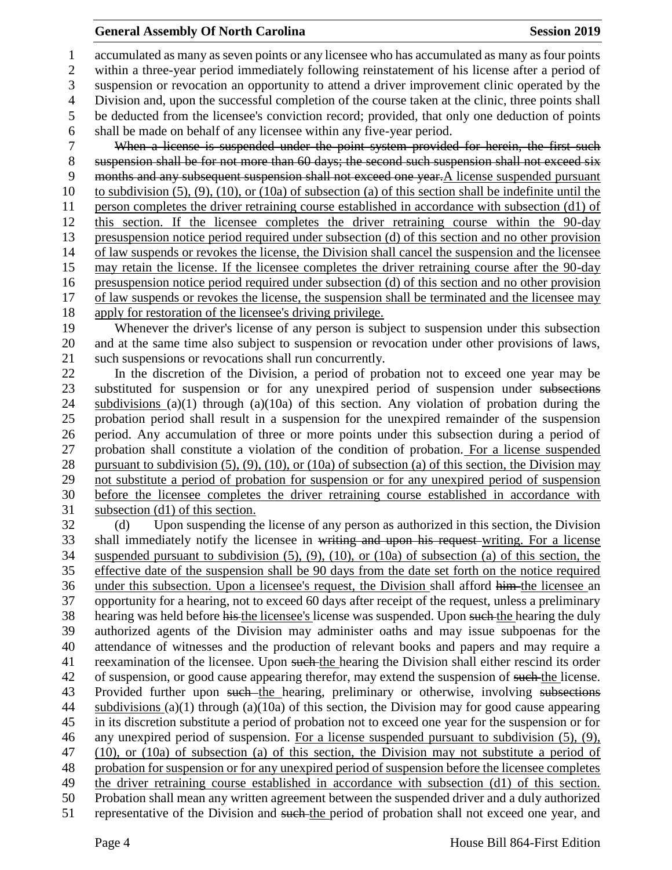## **General Assembly Of North Carolina Session 2019 Session 2019**

 accumulated as many as seven points or any licensee who has accumulated as many as four points within a three-year period immediately following reinstatement of his license after a period of suspension or revocation an opportunity to attend a driver improvement clinic operated by the Division and, upon the successful completion of the course taken at the clinic, three points shall be deducted from the licensee's conviction record; provided, that only one deduction of points shall be made on behalf of any licensee within any five-year period. When a license is suspended under the point system provided for herein, the first such suspension shall be for not more than 60 days; the second such suspension shall not exceed six 9 months and any subsequent suspension shall not exceed one year. A license suspended pursuant to subdivision (5), (9), (10), or (10a) of subsection (a) of this section shall be indefinite until the person completes the driver retraining course established in accordance with subsection (d1) of this section. If the licensee completes the driver retraining course within the 90-day presuspension notice period required under subsection (d) of this section and no other provision of law suspends or revokes the license, the Division shall cancel the suspension and the licensee may retain the license. If the licensee completes the driver retraining course after the 90-day presuspension notice period required under subsection (d) of this section and no other provision of law suspends or revokes the license, the suspension shall be terminated and the licensee may apply for restoration of the licensee's driving privilege. Whenever the driver's license of any person is subject to suspension under this subsection and at the same time also subject to suspension or revocation under other provisions of laws, such suspensions or revocations shall run concurrently. In the discretion of the Division, a period of probation not to exceed one year may be substituted for suspension or for any unexpired period of suspension under subsections 24 subdivisions (a)(1) through (a)(10a) of this section. Any violation of probation during the probation period shall result in a suspension for the unexpired remainder of the suspension period. Any accumulation of three or more points under this subsection during a period of probation shall constitute a violation of the condition of probation. For a license suspended

 pursuant to subdivision (5), (9), (10), or (10a) of subsection (a) of this section, the Division may not substitute a period of probation for suspension or for any unexpired period of suspension before the licensee completes the driver retraining course established in accordance with subsection (d1) of this section.

 (d) Upon suspending the license of any person as authorized in this section, the Division 33 shall immediately notify the licensee in writing and upon his request-writing. For a license suspended pursuant to subdivision (5), (9), (10), or (10a) of subsection (a) of this section, the effective date of the suspension shall be 90 days from the date set forth on the notice required under this subsection. Upon a licensee's request, the Division shall afford him the licensee an opportunity for a hearing, not to exceed 60 days after receipt of the request, unless a preliminary 38 hearing was held before his the licensee's license was suspended. Upon such the hearing the duly authorized agents of the Division may administer oaths and may issue subpoenas for the attendance of witnesses and the production of relevant books and papers and may require a 41 reexamination of the licensee. Upon such the hearing the Division shall either rescind its order 42 of suspension, or good cause appearing therefor, may extend the suspension of such the license. 43 Provided further upon such the hearing, preliminary or otherwise, involving subsections subdivisions (a)(1) through (a)(10a) of this section, the Division may for good cause appearing in its discretion substitute a period of probation not to exceed one year for the suspension or for any unexpired period of suspension. For a license suspended pursuant to subdivision (5), (9), (10), or (10a) of subsection (a) of this section, the Division may not substitute a period of probation for suspension or for any unexpired period of suspension before the licensee completes the driver retraining course established in accordance with subsection (d1) of this section. Probation shall mean any written agreement between the suspended driver and a duly authorized

51 representative of the Division and such the period of probation shall not exceed one year, and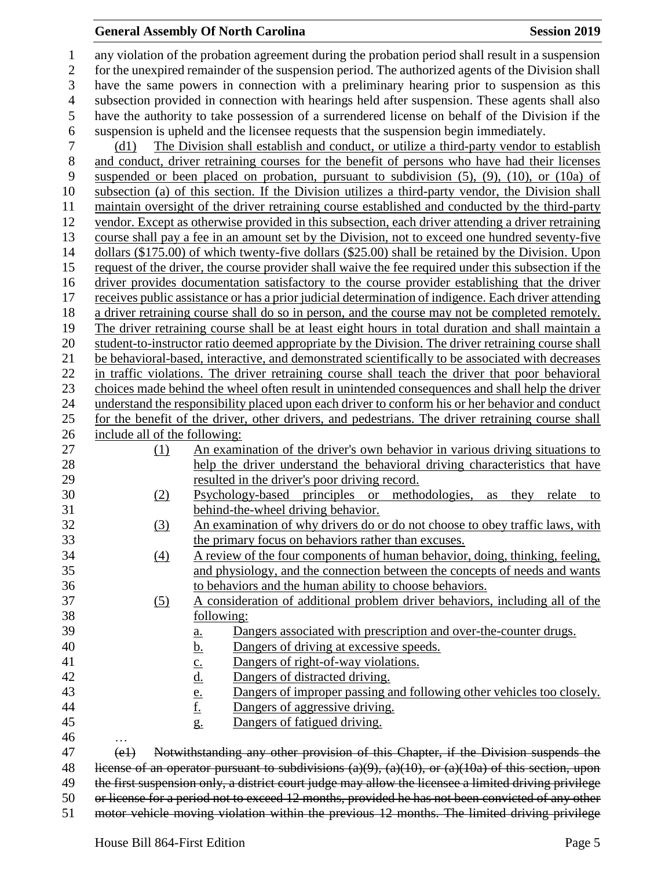### **General Assembly Of North Carolina Session 2019 Session 2019**

 any violation of the probation agreement during the probation period shall result in a suspension for the unexpired remainder of the suspension period. The authorized agents of the Division shall have the same powers in connection with a preliminary hearing prior to suspension as this subsection provided in connection with hearings held after suspension. These agents shall also have the authority to take possession of a surrendered license on behalf of the Division if the suspension is upheld and the licensee requests that the suspension begin immediately. (d1) The Division shall establish and conduct, or utilize a third-party vendor to establish and conduct, driver retraining courses for the benefit of persons who have had their licenses suspended or been placed on probation, pursuant to subdivision (5), (9), (10), or (10a) of subsection (a) of this section. If the Division utilizes a third-party vendor, the Division shall maintain oversight of the driver retraining course established and conducted by the third-party vendor. Except as otherwise provided in this subsection, each driver attending a driver retraining course shall pay a fee in an amount set by the Division, not to exceed one hundred seventy-five dollars (\$175.00) of which twenty-five dollars (\$25.00) shall be retained by the Division. Upon request of the driver, the course provider shall waive the fee required under this subsection if the driver provides documentation satisfactory to the course provider establishing that the driver receives public assistance or has a prior judicial determination of indigence. Each driver attending a driver retraining course shall do so in person, and the course may not be completed remotely. The driver retraining course shall be at least eight hours in total duration and shall maintain a student-to-instructor ratio deemed appropriate by the Division. The driver retraining course shall be behavioral-based, interactive, and demonstrated scientifically to be associated with decreases in traffic violations. The driver retraining course shall teach the driver that poor behavioral choices made behind the wheel often result in unintended consequences and shall help the driver understand the responsibility placed upon each driver to conform his or her behavior and conduct for the benefit of the driver, other drivers, and pedestrians. The driver retraining course shall include all of the following: (1) An examination of the driver's own behavior in various driving situations to help the driver understand the behavioral driving characteristics that have resulted in the driver's poor driving record. (2) Psychology-based principles or methodologies, as they relate to behind-the-wheel driving behavior. (3) An examination of why drivers do or do not choose to obey traffic laws, with the primary focus on behaviors rather than excuses. (4) A review of the four components of human behavior, doing, thinking, feeling, and physiology, and the connection between the concepts of needs and wants to behaviors and the human ability to choose behaviors. (5) A consideration of additional problem driver behaviors, including all of the following: a. Dangers associated with prescription and over-the-counter drugs. b. Dangers of driving at excessive speeds. 41 c. Dangers of right-of-way violations. 42 d. Dangers of distracted driving. 43 e. Dangers of improper passing and following other vehicles too closely.<br>44 **hangers** of aggressive driving. f. Dangers of aggressive driving. 45 g. Dangers of fatigued driving. … (e1) Notwithstanding any other provision of this Chapter, if the Division suspends the license of an operator pursuant to subdivisions (a)(9), (a)(10), or (a)(10a) of this section, upon 49 the first suspension only, a district court judge may allow the licensee a limited driving privilege or license for a period not to exceed 12 months, provided he has not been convicted of any other

motor vehicle moving violation within the previous 12 months. The limited driving privilege